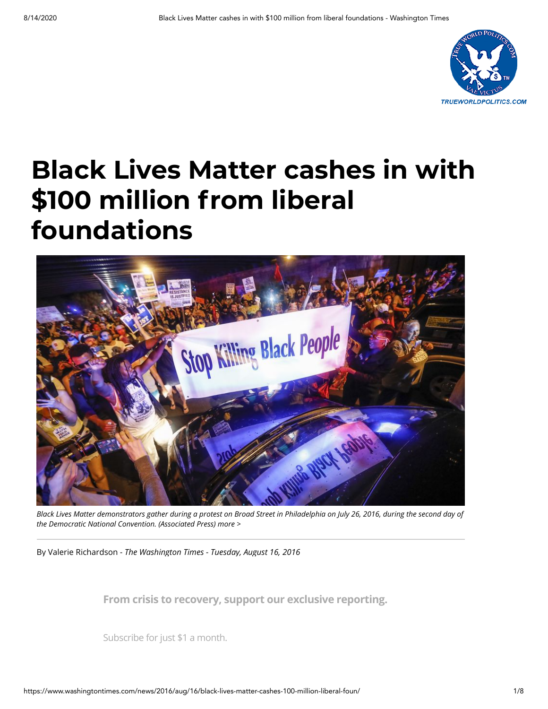

# **Black Lives Matter cashes in with \$100 million from liberal foundations**



*Black Lives Matter demonstrators gather during a protest on Broad Street in Philadelphia on July 26, 2016, during the second day of the Democratic National Convention. (Associated Press) [more >](https://www.washingtontimes.com/multimedia/image/blacklivesmatterjpg/)*

By [Valerie Richardson](https://www.washingtontimes.com/staff/valerie-richardson/) *- The Washington Times - Tuesday, August 16, 2016*

awash in cash, raking in pledges of more than \$100 million from liberal **From crisis to recovery, support our exclusive reporting.**

making cause du jour. Subscribe for just \$1 a month.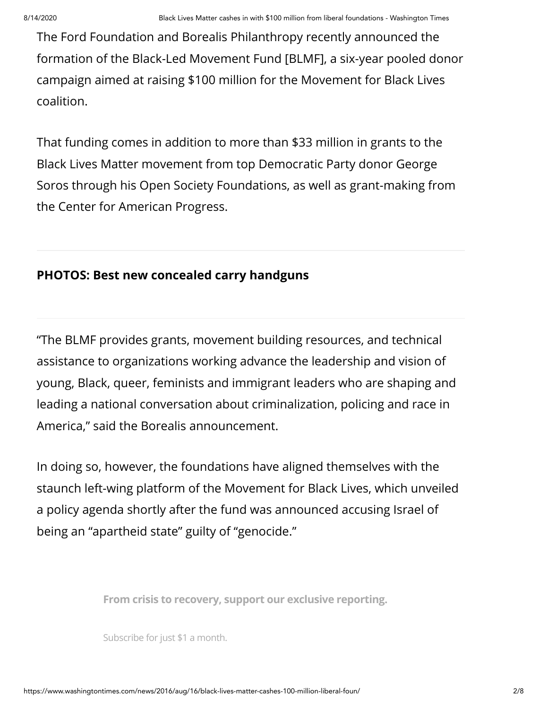The Ford Foundation and Borealis Philanthropy recently announced the formation of the [Black-Led Movement Fund \[BLMF\]](https://www.borealisphilanthropy.org/#!black-led-movement-fund/yepdg), a six-year pooled donor campaign aimed at raising \$100 million for the Movement for Black Lives coalition.

That funding comes in addition to more than \$33 million in grants to the Black Lives Matter movement from top Democratic Party donor George [Soros through his Open Society Foundations, as well as grant-making fro](https://www.washingtontimes.com/topics/george-soros/)m the Center for American Progress.

### **[PHOTOS: Best new concealed carry handguns](https://www.washingtontimes.com/multimedia/collection/best-new-concealed-carry-handguns/)**

"The BLMF provides grants, movement building resources, and technical assistance to organizations working advance the leadership and vision of young, Black, queer, feminists and immigrant leaders who are shaping and leading a national conversation about criminalization, policing and race in America," said the Borealis announcement.

In doing so, however, the foundations have aligned themselves with the staunch left-wing platform of the Movement for Black Lives, which unveiled a policy agenda shortly after the fund was announced accusing Israel of being an "apartheid state" guilty of "genocide."

**From crisis to recovery, support our exclusive reporting.**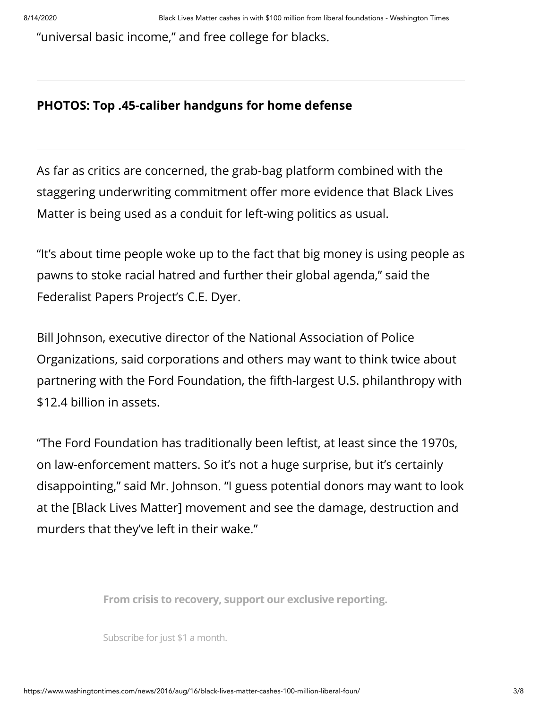"universal basic income," and free college for blacks.

## **[PHOTOS: Top .45-caliber handguns for home defense](https://www.washingtontimes.com/multimedia/collection/top-45-caliber-handguns-home-defense/)**

As far as critics are concerned, the grab-bag platform combined with the staggering underwriting commitment offer more evidence that Black Lives Matter is being used as a conduit for left-wing politics as usual.

"It's about time people woke up to the fact that big money is using people as pawns to stoke racial hatred and further their global agenda," said the [Federalist Papers Project'](https://www.thefederalistpapers.org/us/here-are-all-the-companies-giving-big-bucks-to-blm?utm_source=DC&utm_medium=DC&utm_campaign=DC)s C.E. Dyer.

Bill Johnson, executive director of the National Association of Police Organizations, said corporations and others may want to think twice about partnering with the Ford Foundation, the fifth-largest U.S. philanthropy with \$12.4 billion in assets.

"The Ford Foundation has traditionally been leftist, at least since the 1970s, on law-enforcement matters. So it's not a huge surprise, but it's certainly disappointing," said Mr. Johnson. "I guess potential donors may want to look at the [Black Lives Matter] movement and see the damage, destruction and murders that they've left in their wake."

legitimacy to the movement but also credence to those who say it has **From crisis to recovery, support our exclusive reporting.**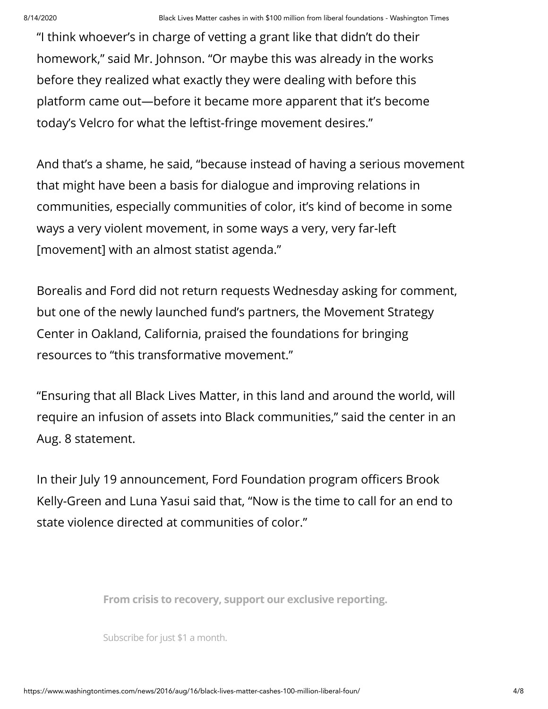"I think whoever's in charge of vetting a grant like that didn't do their homework," said Mr. Johnson. "Or maybe this was already in the works before they realized what exactly they were dealing with before this platform came out—before it became more apparent that it's become today's Velcro for what the leftist-fringe movement desires."

And that's a shame, he said, "because instead of having a serious movement that might have been a basis for dialogue and improving relations in communities, especially communities of color, it's kind of become in some ways a very violent movement, in some ways a very, very far-left [movement] with an almost statist agenda."

Borealis and Ford did not return requests Wednesday asking for comment, but one of the newly launched fund's partners, the Movement Strategy Center in Oakland, California, praised the foundations for bringing resources to "this transformative movement."

"Ensuring that all Black Lives Matter, in this land and around the world, will require an infusion of assets into Black communities," said the center in an Aug. 8 statement.

In their July 19 announcement, Ford Foundation program officers Brook Kelly-Green and Luna Yasui said that, "Now is the time to call for an end to state violence directed at communities of color."

and employment in communities for people that have historically had less **From crisis to recovery, support our exclusive reporting.**

opportunity and access to all those things," they said. "These are the Subscribe for just \$1 a month.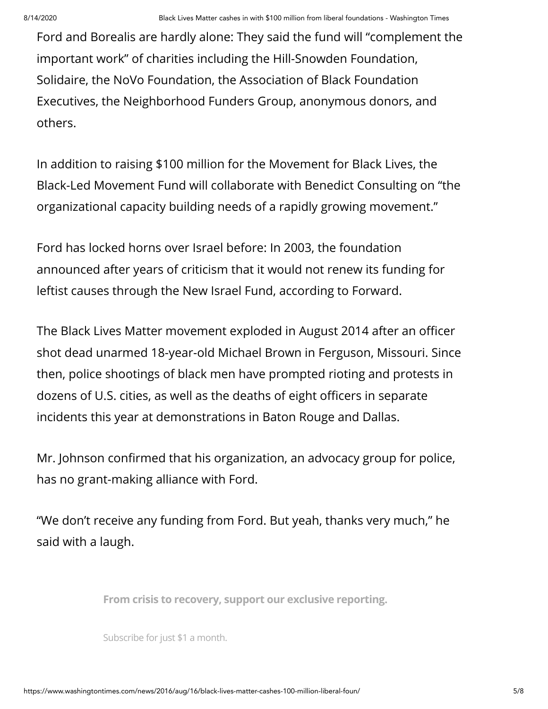Ford and Borealis are hardly alone: They said the fund will "complement the important work" of charities including the Hill-Snowden Foundation, Solidaire, the NoVo Foundation, the Association of Black Foundation Executives, the Neighborhood Funders Group, anonymous donors, and others.

In addition to raising \$100 million for the Movement for Black Lives, the Black-Led Movement Fund will collaborate with Benedict Consulting on "the organizational capacity building needs of a rapidly growing movement."

Ford has locked horns over Israel before: In 2003, the foundation announced after years of criticism that it would not renew its funding for leftist causes through the New Israel Fund, according to [Forward.](https://forward.com/news/136816/ford-foundation-big-funder-of-israeli-ngos-pulling/)

The Black Lives Matter movement exploded in August 2014 after an officer shot dead unarmed 18-year-old Michael Brown in Ferguson, Missouri. Since then, police shootings of black men have prompted rioting and protests in dozens of U.S. cities, as well as the deaths of eight officers in separate incidents this year at demonstrations in Baton Rouge and Dallas.

Mr. Johnson confirmed that his organization, an advocacy group for police, has no grant-making alliance with Ford.

"We don't receive any funding from Ford. But yeah, thanks very much," he said with a laugh.

what's going on across this country with the attacks on police," Mr. Johnson **From crisis to recovery, support our exclusive reporting.**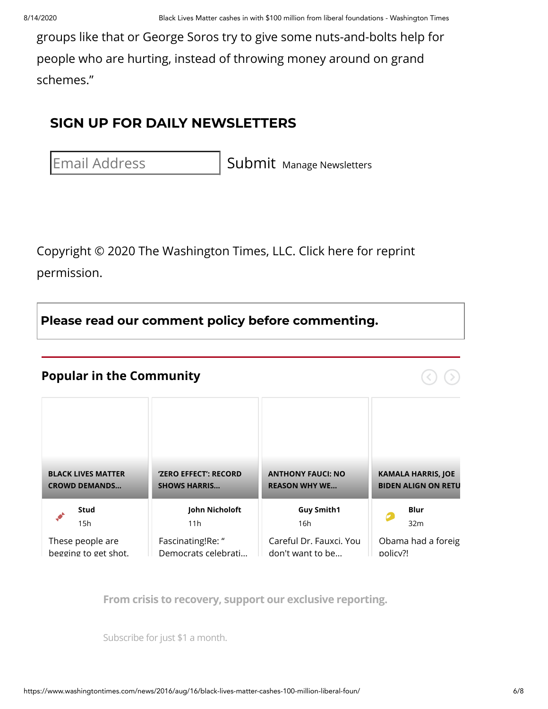groups like that or [George Soros](https://www.washingtontimes.com/topics/george-soros/) try to give some nuts-and-bolts help for people who are hurting, instead of throwing money around on grand schemes."

# **SIGN UP FOR DAILY NEWSLETTERS**

Email Address Submit [Manage Newsletters](https://www.washingtontimes.com/newsletters/manage/?news)

[Copyright © 2020 The Washington Times, LLC. Click here for reprint](https://goo.gl/forms/xGjXcUKYsKxMeCUl1) permission.

**Please read our [comment](https://www.washingtontimes.com/comment-policy/) policy before commenting.**

#### **Popular in the Community**

**Stud** 15h These people are [begging to get shot.](https://www.washingtontimes.com/news/2020/aug/13/black-lives-matter-crowd-demands-seattle-homeowner/?utm_source=spotim&utm_medium=spotim_recirculation) **John Nicholoft** 11h Fascinating!Re: " [Democrats celebrati…](https://www.washingtontimes.com/news/2020/aug/13/kamala-harris-had-zero-effect-senator/?utm_source=spotim&utm_medium=spotim_recirculation) **Guy Smith1** 16h [Careful Dr. Fauxci. You](https://www.washingtontimes.com/news/2020/aug/13/anthony-fauci-no-reason-why-we-shouldnt-be-able-vo/?utm_source=spotim&utm_medium=spotim_recirculation) don't want to be… **Blur** 32m [Obama had a foreig](https://www.washingtontimes.com/news/2020/aug/12/kamala-harris-joe-biden-align-on-return-to-obama-e/?utm_source=spotim&utm_medium=spotim_recirculation) policy?! **BLACK LIVES MATTER CROWD DEMANDS… 'ZERO EFFECT': RECORD SHOWS HARRIS… ANTHONY FAUCI: NO REASON WHY WE… KAMALA HARRIS, JOE BIDEN ALIGN ON RETU**

**From crisis to recovery, support our exclusive reporting.**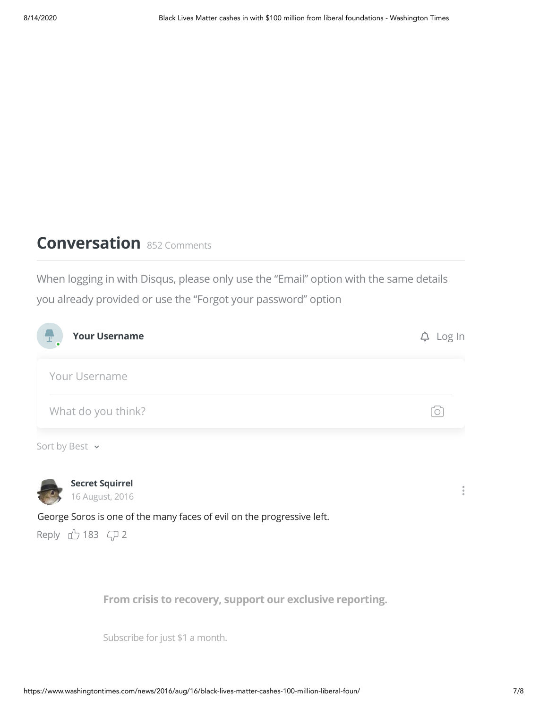# **Conversation** <sup>852</sup> Comments

When logging in with Disqus, please only use the "Email" option with the same details you already provided or use the "Forgot your password" option



 $3.3$  September, 2017 **Rear** From crisis to recovery, support our exclusive reporting.